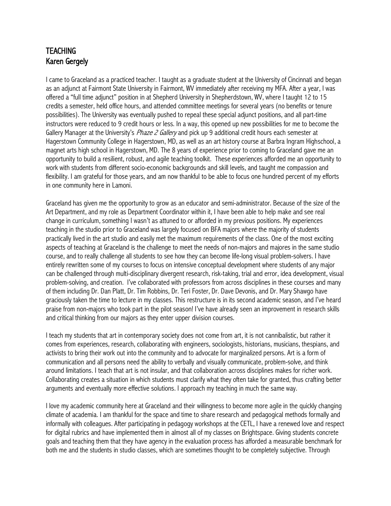## TEACHING Karen Gergely

I came to Graceland as a practiced teacher. I taught as a graduate student at the University of Cincinnati and began as an adjunct at Fairmont State University in Fairmont, WV immediately after receiving my MFA. After a year, I was offered a "full time adjunct" position in at Shepherd University in Shepherdstown, WV, where I taught 12 to 15 credits a semester, held office hours, and attended committee meetings for several years (no benefits or tenure possibilities). The University was eventually pushed to repeal these special adjunct positions, and all part-time instructors were reduced to 9 credit hours or less. In a way, this opened up new possibilities for me to become the Gallery Manager at the University's *Phaze 2 Gallery* and pick up 9 additional credit hours each semester at Hagerstown Community College in Hagerstown, MD, as well as an art history course at Barbra Ingram Highschool, a magnet arts high school in Hagerstown, MD. The 8 years of experience prior to coming to Graceland gave me an opportunity to build a resilient, robust, and agile teaching toolkit. These experiences afforded me an opportunity to work with students from different socio-economic backgrounds and skill levels, and taught me compassion and flexibility. I am grateful for those years, and am now thankful to be able to focus one hundred percent of my efforts in one community here in Lamoni.

Graceland has given me the opportunity to grow as an educator and semi-administrator. Because of the size of the Art Department, and my role as Department Coordinator within it, I have been able to help make and see real change in curriculum, something I wasn't as attuned to or afforded in my previous positions. My experiences teaching in the studio prior to Graceland was largely focused on BFA majors where the majority of students practically lived in the art studio and easily met the maximum requirements of the class. One of the most exciting aspects of teaching at Graceland is the challenge to meet the needs of non-majors and majores in the same studio course, and to really challenge all students to see how they can become life-long visual problem-solvers. I have entirely rewritten some of my courses to focus on intensive conceptual development where students of any major can be challenged through multi-disciplinary divergent research, risk-taking, trial and error, idea development, visual problem-solving, and creation. I've collaborated with professors from across disciplines in these courses and many of them including Dr. Dan Platt, Dr. Tim Robbins, Dr. Teri Foster, Dr. Dave Devonis, and Dr. Mary Shawgo have graciously taken the time to lecture in my classes. This restructure is in its second academic season, and I've heard praise from non-majors who took part in the pilot season! I've have already seen an improvement in research skills and critical thinking from our majors as they enter upper division courses.

I teach my students that art in contemporary society does not come from art, it is not cannibalistic, but rather it comes from experiences, research, collaborating with engineers, sociologists, historians, musicians, thespians, and activists to bring their work out into the community and to advocate for marginalized persons. Art is a form of communication and all persons need the ability to verbally and visually communicate, problem-solve, and think around limitations. I teach that art is not insular, and that collaboration across disciplines makes for richer work. Collaborating creates a situation in which students must clarify what they often take for granted, thus crafting better arguments and eventually more effective solutions. I approach my teaching in much the same way.

I love my academic community here at Graceland and their willingness to become more agile in the quickly changing climate of academia. I am thankful for the space and time to share research and pedagogical methods formally and informally with colleagues. After participating in pedagogy workshops at the CETL, I have a renewed love and respect for digital rubrics and have implemented them in almost all of my classes on Brightspace. Giving students concrete goals and teaching them that they have agency in the evaluation process has afforded a measurable benchmark for both me and the students in studio classes, which are sometimes thought to be completely subjective. Through